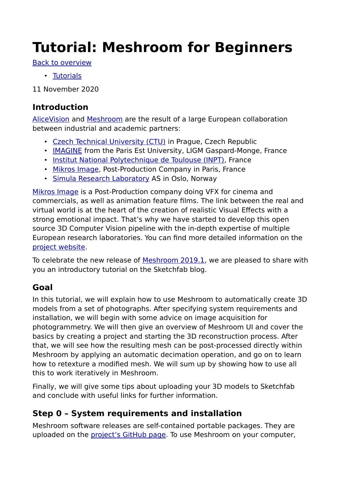# **Tutorial: Meshroom for Beginners**

[Back to overview](https://sketchfab.com/blogs/community/tutorial-meshroom-for-beginners/#)

• [Tutorials](https://sketchfab.com/blogs/community/category/tutorial/)

11 November 2020

## **Introduction**

[AliceVision](https://github.com/alicevision/AliceVision) and [Meshroom](https://github.com/alicevision/meshroom) are the result of a large European collaboration between industrial and academic partners:

- • [Czech Technical University \(CTU\)](http://people.ciirc.cvut.cz/~pajdla) in Prague, Czech Republic
- • [IMAGINE](http://imagine.enpc.fr/) from the Paris Est University, LIGM Gaspard-Monge, France
- [Institut National Polytechnique de Toulouse \(INPT\),](http://www.inp-toulouse.fr/) France
- • [Mikros Image](http://www.mikrosimage.com/), Post-Production Company in Paris, France
- [Simula Research Laboratory](https://www.simula.no/) AS in Oslo, Norway

[Mikros Image](http://www.mikrosimage.com/) is a Post-Production company doing VFX for cinema and commercials, as well as animation feature films. The link between the real and virtual world is at the heart of the creation of realistic Visual Effects with a strong emotional impact. That's why we have started to develop this open source 3D Computer Vision pipeline with the in-depth expertise of multiple European research laboratories. You can find more detailed information on the [project website.](https://alicevision.github.io/)

To celebrate the new release of [Meshroom 2019.1](https://github.com/alicevision/meshroom/releases), we are pleased to share with you an introductory tutorial on the Sketchfab blog.

## **Goal**

In this tutorial, we will explain how to use Meshroom to automatically create 3D models from a set of photographs. After specifying system requirements and installation, we will begin with some advice on image acquisition for photogrammetry. We will then give an overview of Meshroom UI and cover the basics by creating a project and starting the 3D reconstruction process. After that, we will see how the resulting mesh can be post-processed directly within Meshroom by applying an automatic decimation operation, and go on to learn how to retexture a modified mesh. We will sum up by showing how to use all this to work iteratively in Meshroom.

Finally, we will give some tips about uploading your 3D models to Sketchfab and conclude with useful links for further information.

# **Step 0 – System requirements and installation**

Meshroom software releases are self-contained portable packages. They are uploaded on the [project's GitHub page.](https://github.com/alicevision/meshroom/releases) To use Meshroom on your computer,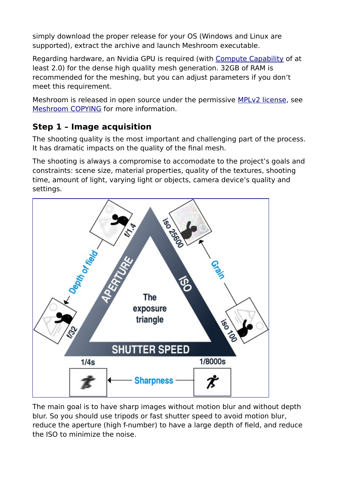simply download the proper release for your OS (Windows and Linux are supported), extract the archive and launch Meshroom executable.

Regarding hardware, an Nvidia GPU is required (with [Compute Capability](https://developer.nvidia.com/cuda-gpus) of at least 2.0) for the dense high quality mesh generation. 32GB of RAM is recommended for the meshing, but you can adjust parameters if you don't meet this requirement.

Meshroom is released in open source under the permissive [MPLv2 license](https://www.mozilla.org/en-US/MPL/2.0), see [Meshroom COPYING](https://github.com/alicevision/meshroom/blob/develop/COPYING.md) for more information.

## **Step 1 – Image acquisition**

The shooting quality is the most important and challenging part of the process. It has dramatic impacts on the quality of the final mesh.

The shooting is always a compromise to accomodate to the project's goals and constraints: scene size, material properties, quality of the textures, shooting time, amount of light, varying light or objects, camera device's quality and settings.



The main goal is to have sharp images without motion blur and without depth blur. So you should use tripods or fast shutter speed to avoid motion blur, reduce the aperture (high f-number) to have a large depth of field, and reduce the ISO to minimize the noise.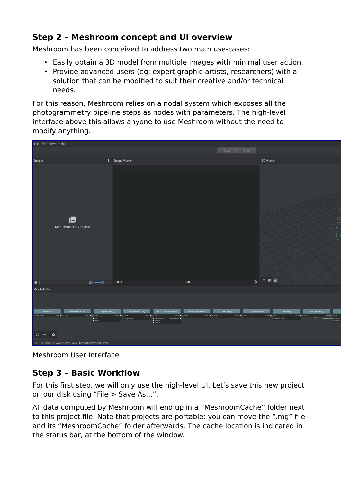## **Step 2 – Meshroom concept and UI overview**

Meshroom has been conceived to address two main use-cases:

- Easily obtain a 3D model from multiple images with minimal user action.
- Provide advanced users (eg: expert graphic artists, researchers) with a solution that can be modified to suit their creative and/or technical needs.

For this reason, Meshroom relies on a nodal system which exposes all the photogrammetry pipeline steps as nodes with parameters. The high-level interface above this allows anyone to use Meshroom without the need to modify anything.



Meshroom User Interface

## **Step 3 – Basic Workflow**

For this first step, we will only use the high-level UI. Let's save this new project on our disk using "File > Save As…".

All data computed by Meshroom will end up in a "MeshroomCache" folder next to this project file. Note that projects are portable: you can move the ".mg" file and its "MeshroomCache" folder afterwards. The cache location is indicated in the status bar, at the bottom of the window.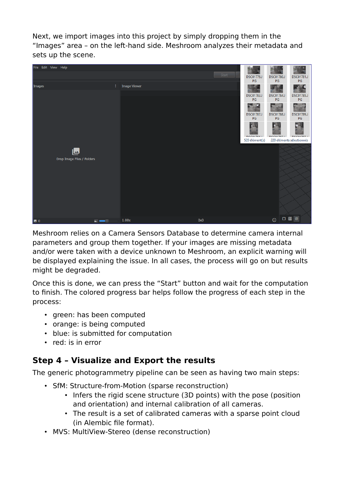Next, we import images into this project by simply dropping them in the "Images" area – on the left-hand side. Meshroom analyzes their metadata and sets up the scene.



Meshroom relies on a Camera Sensors Database to determine camera internal parameters and group them together. If your images are missing metadata and/or were taken with a device unknown to Meshroom, an explicit warning will be displayed explaining the issue. In all cases, the process will go on but results might be degraded.

Once this is done, we can press the "Start" button and wait for the computation to finish. The colored progress bar helps follow the progress of each step in the process:

- green: has been computed
- orange: is being computed
- blue: is submitted for computation
- red: is in error

## **Step 4 – Visualize and Export the results**

The generic photogrammetry pipeline can be seen as having two main steps:

- SfM: Structure-from-Motion (sparse reconstruction)
	- Infers the rigid scene structure (3D points) with the pose (position and orientation) and internal calibration of all cameras.
	- The result is a set of calibrated cameras with a sparse point cloud (in Alembic file format).
- MVS: MultiView-Stereo (dense reconstruction)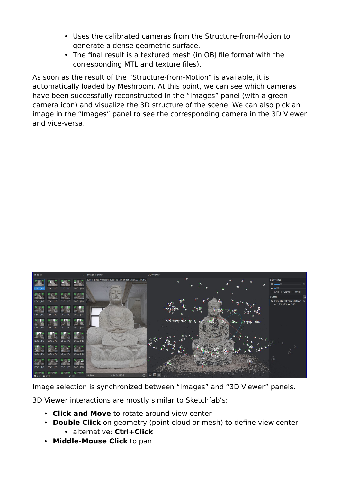- Uses the calibrated cameras from the Structure-from-Motion to generate a dense geometric surface.
- The final result is a textured mesh (in OBJ file format with the corresponding MTL and texture files).

As soon as the result of the "Structure-from-Motion" is available, it is automatically loaded by Meshroom. At this point, we can see which cameras have been successfully reconstructed in the "Images" panel (with a green camera icon) and visualize the 3D structure of the scene. We can also pick an image in the "Images" panel to see the corresponding camera in the 3D Viewer and vice-versa.



Image selection is synchronized between "Images" and "3D Viewer" panels.

3D Viewer interactions are mostly similar to Sketchfab's:

- **Click and Move** to rotate around view center
- **Double Click** on geometry (point cloud or mesh) to define view center • alternative: **Ctrl+Click**
- **Middle-Mouse Click** to pan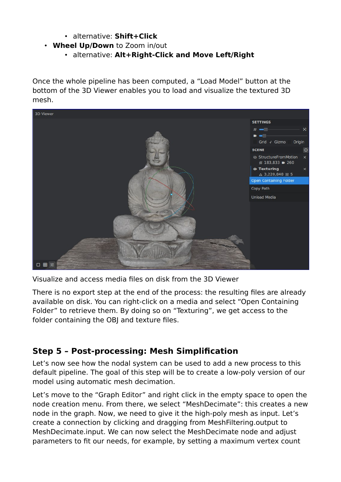- alternative: **Shift+Click**
- **Wheel Up/Down** to Zoom in/out
	- alternative: **Alt+Right-Click and Move Left/Right**

Once the whole pipeline has been computed, a "Load Model" button at the bottom of the 3D Viewer enables you to load and visualize the textured 3D mesh.



Visualize and access media files on disk from the 3D Viewer

There is no export step at the end of the process: the resulting files are already available on disk. You can right-click on a media and select "Open Containing Folder" to retrieve them. By doing so on "Texturing", we get access to the folder containing the OBJ and texture files.

#### **Step 5 – Post-processing: Mesh Simplification**

Let's now see how the nodal system can be used to add a new process to this default pipeline. The goal of this step will be to create a low-poly version of our model using automatic mesh decimation.

Let's move to the "Graph Editor" and right click in the empty space to open the node creation menu. From there, we select "MeshDecimate": this creates a new node in the graph. Now, we need to give it the high-poly mesh as input. Let's create a connection by clicking and dragging from MeshFiltering.output to MeshDecimate.input. We can now select the MeshDecimate node and adjust parameters to fit our needs, for example, by setting a maximum vertex count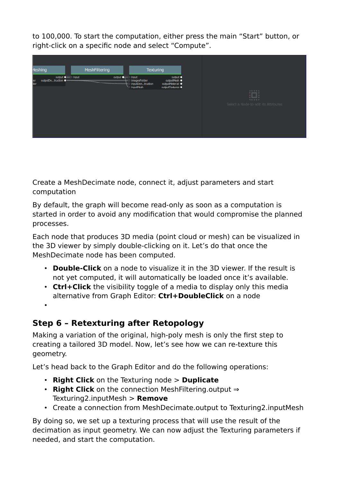to 100,000. To start the computation, either press the main "Start" button, or right-click on a specific node and select "Compute".



Create a MeshDecimate node, connect it, adjust parameters and start computation

By default, the graph will become read-only as soon as a computation is started in order to avoid any modification that would compromise the planned processes.

Each node that produces 3D media (point cloud or mesh) can be visualized in the 3D viewer by simply double-clicking on it. Let's do that once the MeshDecimate node has been computed.

- **Double-Click** on a node to visualize it in the 3D viewer. If the result is not yet computed, it will automatically be loaded once it's available.
- **Ctrl+Click** the visibility toggle of a media to display only this media alternative from Graph Editor: **Ctrl+DoubleClick** on a node

•

# **Step 6 – Retexturing after Retopology**

Making a variation of the original, high-poly mesh is only the first step to creating a tailored 3D model. Now, let's see how we can re-texture this geometry.

Let's head back to the Graph Editor and do the following operations:

- **Right Click** on the Texturing node > **Duplicate**
- **Right Click** on the connection MeshFiltering.output ⇒ Texturing2.inputMesh > **Remove**
- Create a connection from MeshDecimate.output to Texturing2.inputMesh

By doing so, we set up a texturing process that will use the result of the decimation as input geometry. We can now adjust the Texturing parameters if needed, and start the computation.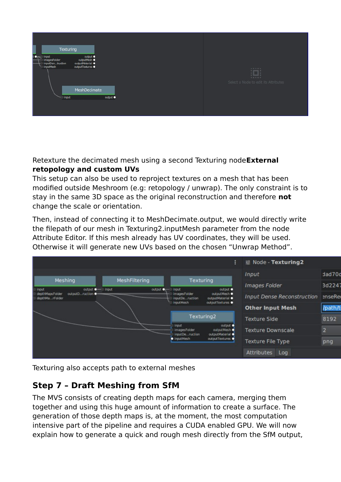| Texturing                                                            |                                                                   |                  |  |                                                              |
|----------------------------------------------------------------------|-------------------------------------------------------------------|------------------|--|--------------------------------------------------------------|
| <b>input</b><br>imagesFolder<br>inputDentruction<br><b>InputMesh</b> | output ·<br>output lesh ·<br>outputMaterial ·<br>outputTextures . |                  |  |                                                              |
| input                                                                | MeshDecimate                                                      | output $\bullet$ |  | $\dddot{a}$<br>55552<br>Select a Node to edit its Attributes |
|                                                                      |                                                                   |                  |  |                                                              |

Retexture the decimated mesh using a second Texturing node**External retopology and custom UVs**

This setup can also be used to reproject textures on a mesh that has been modified outside Meshroom (e.g: retopology / unwrap). The only constraint is to stay in the same 3D space as the original reconstruction and therefore **not** change the scale or orientation.

Then, instead of connecting it to MeshDecimate.output, we would directly write the filepath of our mesh in Texturing2.inputMesh parameter from the node Attribute Editor. If this mesh already has UV coordinates, they will be used. Otherwise it will generate new UVs based on the chosen "Unwrap Method".



Texturing also accepts path to external meshes

## **Step 7 – Draft Meshing from SfM**

The MVS consists of creating depth maps for each camera, merging them together and using this huge amount of information to create a surface. The generation of those depth maps is, at the moment, the most computation intensive part of the pipeline and requires a CUDA enabled GPU. We will now explain how to generate a quick and rough mesh directly from the SfM output,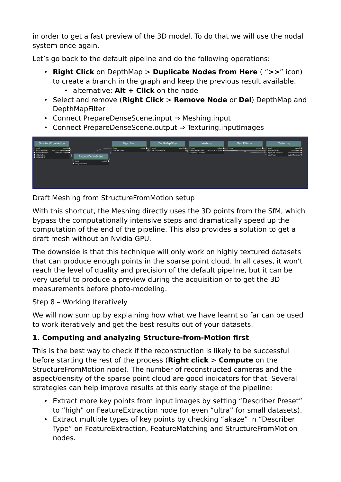in order to get a fast preview of the 3D model. To do that we will use the nodal system once again.

Let's go back to the default pipeline and do the following operations:

- **Right Click** on DepthMap > **Duplicate Nodes from Here** ( "**>>**" icon) to create a branch in the graph and keep the previous result available. • alternative: **Alt + Click** on the node
- Select and remove (**Right Click** > **Remove Node** or **Del**) DepthMap and DepthMapFilter
- Connect PrepareDenseScene.input ⇒ Meshing.input
- Connect PrepareDenseScene.output ⇒ Texturing.inputImages



Draft Meshing from StructureFromMotion setup

With this shortcut, the Meshing directly uses the 3D points from the SfM, which bypass the computationally intensive steps and dramatically speed up the computation of the end of the pipeline. This also provides a solution to get a draft mesh without an Nvidia GPU.

The downside is that this technique will only work on highly textured datasets that can produce enough points in the sparse point cloud. In all cases, it won't reach the level of quality and precision of the default pipeline, but it can be very useful to produce a preview during the acquisition or to get the 3D measurements before photo-modeling.

Step 8 – Working Iteratively

We will now sum up by explaining how what we have learnt so far can be used to work iteratively and get the best results out of your datasets.

## **1. Computing and analyzing Structure-from-Motion first**

This is the best way to check if the reconstruction is likely to be successful before starting the rest of the process (**Right click** > **Compute** on the StructureFromMotion node). The number of reconstructed cameras and the aspect/density of the sparse point cloud are good indicators for that. Several strategies can help improve results at this early stage of the pipeline:

- Extract more key points from input images by setting "Describer Preset" to "high" on FeatureExtraction node (or even "ultra" for small datasets).
- Extract multiple types of key points by checking "akaze" in "Describer Type" on FeatureExtraction, FeatureMatching and StructureFromMotion nodes.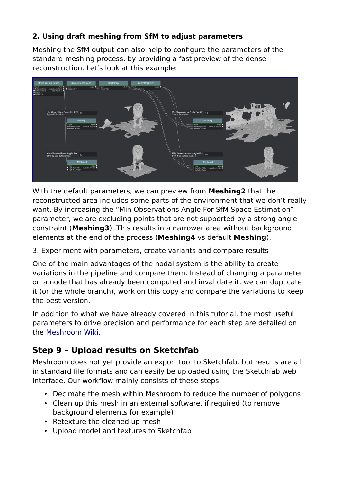#### **2. Using draft meshing from SfM to adjust parameters**

Meshing the SfM output can also help to configure the parameters of the standard meshing process, by providing a fast preview of the dense reconstruction. Let's look at this example:



With the default parameters, we can preview from **Meshing2** that the reconstructed area includes some parts of the environment that we don't really want. By increasing the "Min Observations Angle For SfM Space Estimation" parameter, we are excluding points that are not supported by a strong angle constraint (**Meshing3**). This results in a narrower area without background elements at the end of the process (**Meshing4** vs default **Meshing**).

3. Experiment with parameters, create variants and compare results

One of the main advantages of the nodal system is the ability to create variations in the pipeline and compare them. Instead of changing a parameter on a node that has already been computed and invalidate it, we can duplicate it (or the whole branch), work on this copy and compare the variations to keep the best version.

In addition to what we have already covered in this tutorial, the most useful parameters to drive precision and performance for each step are detailed on the [Meshroom Wiki](https://github.com/alicevision/meshroom/wiki).

## **Step 9 – Upload results on Sketchfab**

Meshroom does not yet provide an export tool to Sketchfab, but results are all in standard file formats and can easily be uploaded using the Sketchfab web interface. Our workflow mainly consists of these steps:

- Decimate the mesh within Meshroom to reduce the number of polygons
- Clean up this mesh in an external software, if required (to remove background elements for example)
- Retexture the cleaned up mesh
- Upload model and textures to Sketchfab